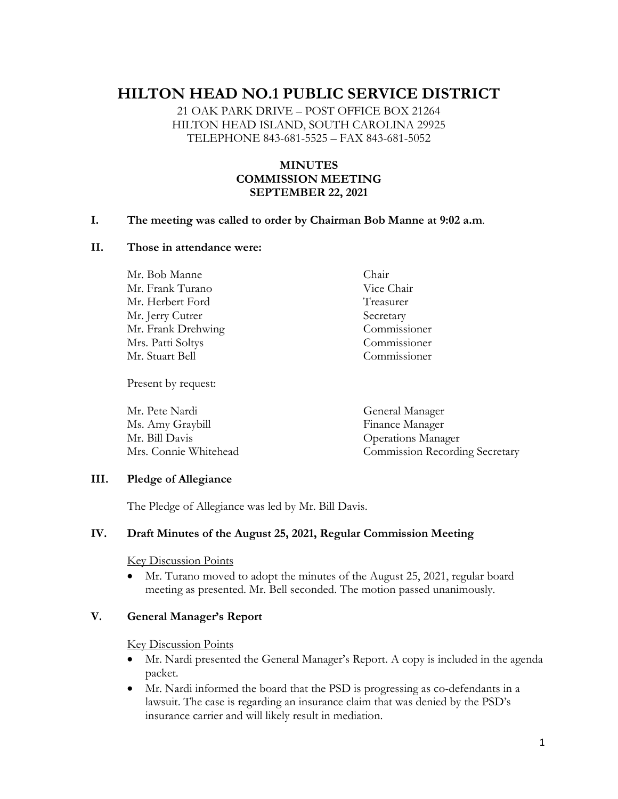# **HILTON HEAD NO.1 PUBLIC SERVICE DISTRICT**

21 OAK PARK DRIVE – POST OFFICE BOX 21264 HILTON HEAD ISLAND, SOUTH CAROLINA 29925 TELEPHONE 843-681-5525 – FAX 843-681-5052

## **MINUTES COMMISSION MEETING SEPTEMBER 22, 2021**

#### **I. The meeting was called to order by Chairman Bob Manne at 9:02 a.m**.

#### **II. Those in attendance were:**

Mr. Bob Manne Chair Mr. Frank Turano Vice Chair Mr. Herbert Ford Treasurer Mr. Jerry Cutrer Secretary Mr. Frank Drehwing Commissioner Mrs. Patti Soltys Commissioner Mr. Stuart Bell Commissioner

Present by request:

Mr. Pete Nardi General Manager Ms. Amy Graybill Finance Manager Mr. Bill Davis Operations Manager Mrs. Connie Whitehead Commission Recording Secretary

#### **III. Pledge of Allegiance**

The Pledge of Allegiance was led by Mr. Bill Davis.

### **IV. Draft Minutes of the August 25, 2021, Regular Commission Meeting**

Key Discussion Points

• Mr. Turano moved to adopt the minutes of the August 25, 2021, regular board meeting as presented. Mr. Bell seconded. The motion passed unanimously.

## **V. General Manager's Report**

Key Discussion Points

- Mr. Nardi presented the General Manager's Report. A copy is included in the agenda packet.
- Mr. Nardi informed the board that the PSD is progressing as co-defendants in a lawsuit. The case is regarding an insurance claim that was denied by the PSD's insurance carrier and will likely result in mediation.